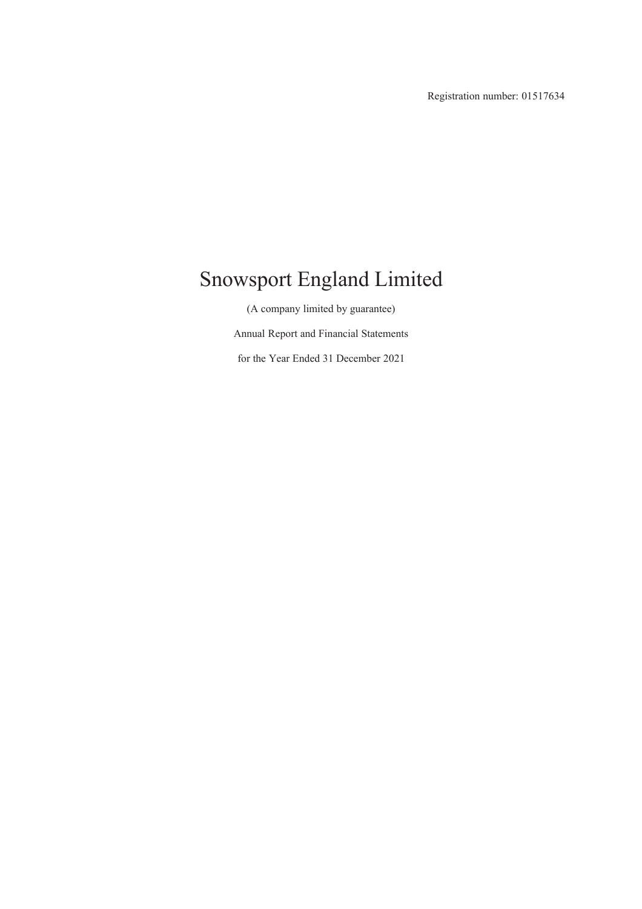Registration number: 01517634

# Snowsport England Limited

(A company limited by guarantee) Annual Report and Financial Statements for the Year Ended 31 December 2021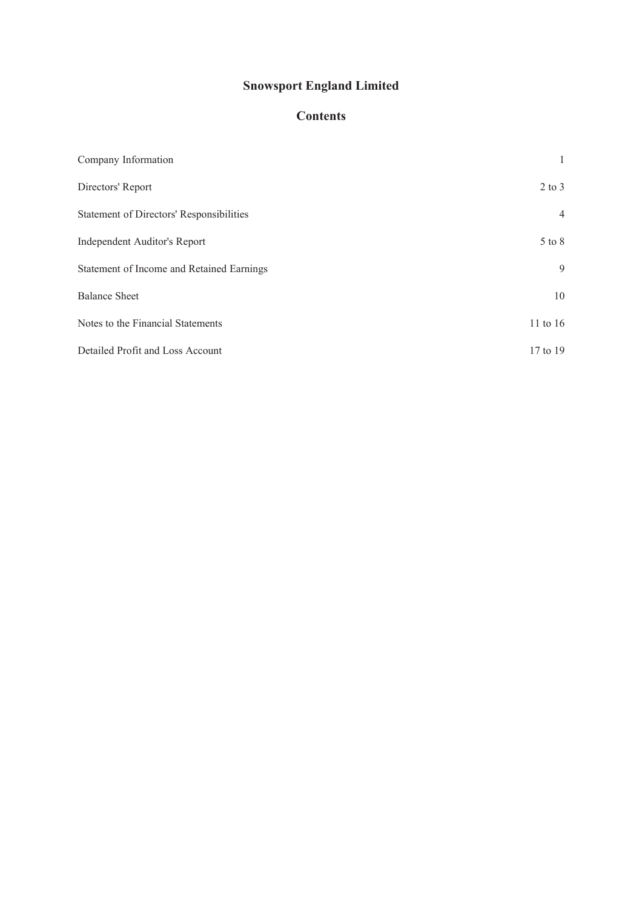## **Contents**

| Company Information                       |                |
|-------------------------------------------|----------------|
| Directors' Report                         | $2$ to $3$     |
| Statement of Directors' Responsibilities  | $\overline{4}$ |
| Independent Auditor's Report              | $5$ to $8$     |
| Statement of Income and Retained Earnings | 9              |
| <b>Balance Sheet</b>                      | 10             |
| Notes to the Financial Statements         | 11 to 16       |
| Detailed Profit and Loss Account          | 17 to 19       |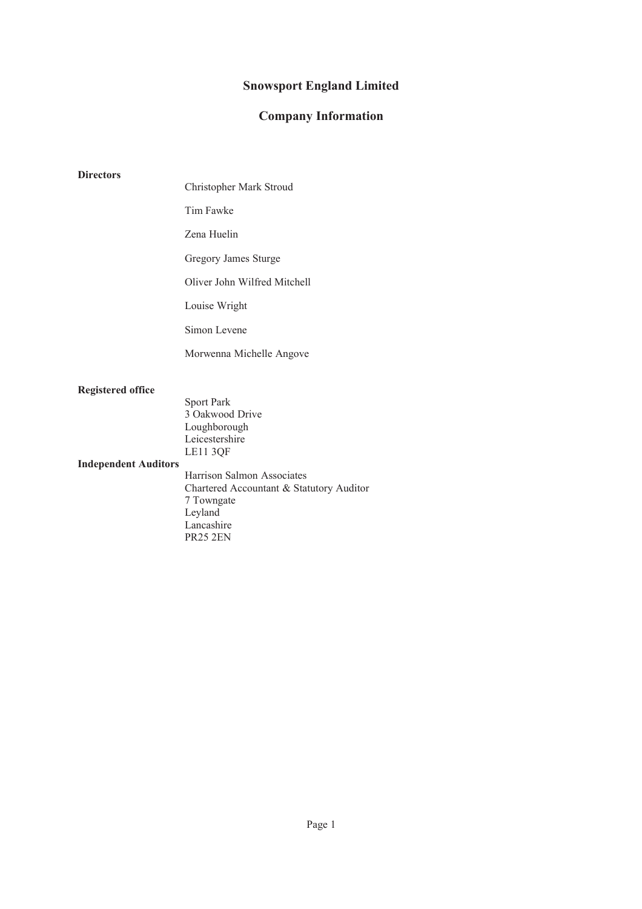### **Company Information**

#### **Directors**

Christopher Mark Stroud

Tim Fawke

Zena Huelin

Gregory James Sturge

Oliver John Wilfred Mitchell

Louise Wright

Simon Levene

Morwenna Michelle Angove

#### **Registered office**

Sport Park 3 Oakwood Drive Loughborough Leicestershire LE11 3QF

#### **Independent Auditors**

Harrison Salmon Associates Chartered Accountant & Statutory Auditor 7 Towngate Leyland Lancashire PR25 2EN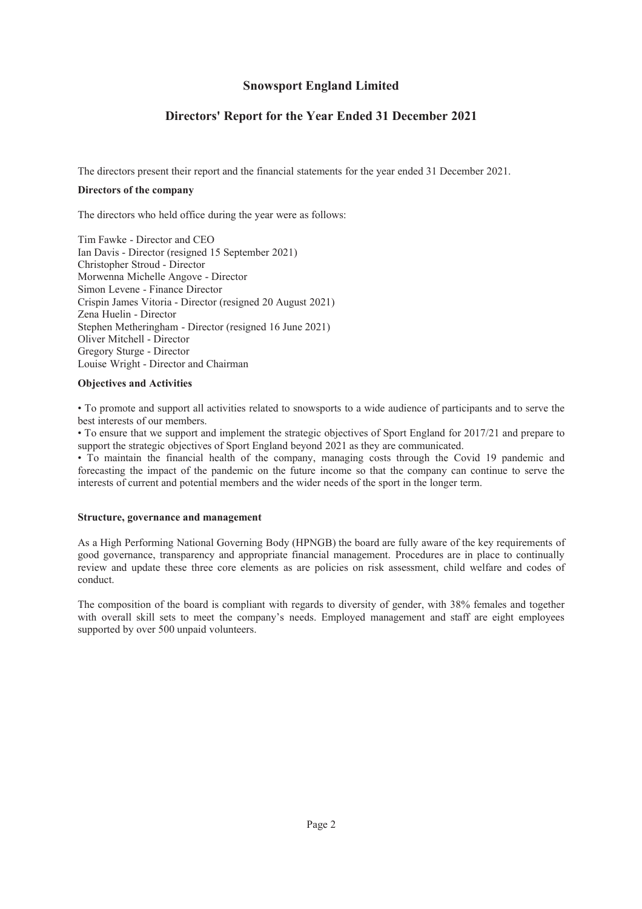## **Directors' Report for the Year Ended 31 December 2021**

The directors present their report and the financial statements for the year ended 31 December 2021.

#### **Directors of the company**

The directors who held office during the year were as follows:

Tim Fawke - Director and CEO Ian Davis - Director (resigned 15 September 2021) Christopher Stroud - Director Morwenna Michelle Angove - Director Simon Levene - Finance Director Crispin James Vitoria - Director (resigned 20 August 2021) Zena Huelin - Director Stephen Metheringham - Director (resigned 16 June 2021) Oliver Mitchell - Director Gregory Sturge - Director Louise Wright - Director and Chairman

#### **Objectives and Activities**

• To promote and support all activities related to snowsports to a wide audience of participants and to serve the best interests of our members.

• To ensure that we support and implement the strategic objectives of Sport England for 2017/21 and prepare to support the strategic objectives of Sport England beyond 2021 as they are communicated.

• To maintain the financial health of the company, managing costs through the Covid 19 pandemic and forecasting the impact of the pandemic on the future income so that the company can continue to serve the interests of current and potential members and the wider needs of the sport in the longer term.

#### **Structure, governance and management**

As a High Performing National Governing Body (HPNGB) the board are fully aware of the key requirements of good governance, transparency and appropriate financial management. Procedures are in place to continually review and update these three core elements as are policies on risk assessment, child welfare and codes of conduct.

The composition of the board is compliant with regards to diversity of gender, with 38% females and together with overall skill sets to meet the company's needs. Employed management and staff are eight employees supported by over 500 unpaid volunteers.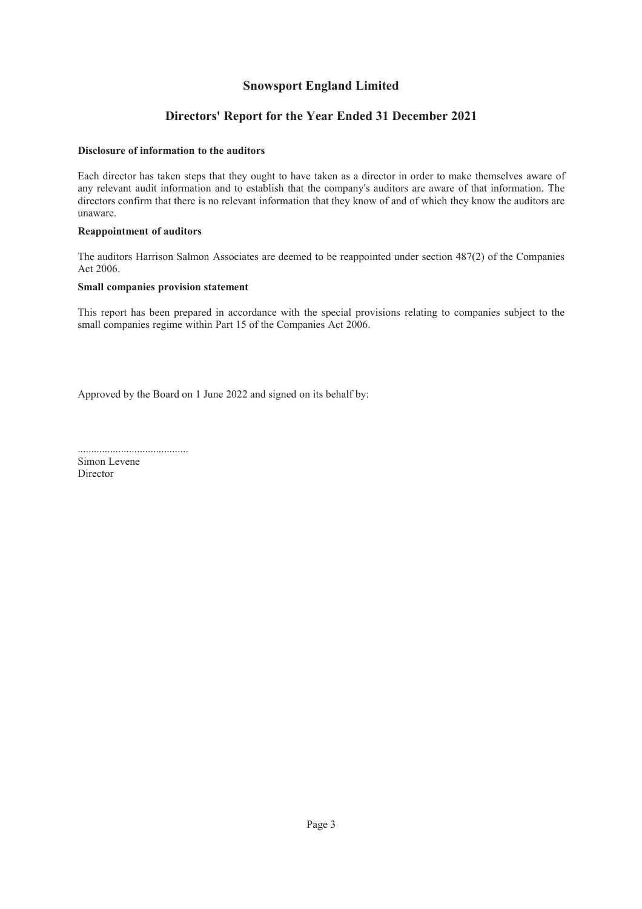### **Directors' Report for the Year Ended 31 December 2021**

#### **Disclosure of information to the auditors**

Each director has taken steps that they ought to have taken as a director in order to make themselves aware of any relevant audit information and to establish that the company's auditors are aware of that information. The directors confirm that there is no relevant information that they know of and of which they know the auditors are unaware.

#### **Reappointment of auditors**

The auditors Harrison Salmon Associates are deemed to be reappointed under section 487(2) of the Companies Act 2006.

#### **Small companies provision statement**

This report has been prepared in accordance with the special provisions relating to companies subject to the small companies regime within Part 15 of the Companies Act 2006.

Approved by the Board on 1 June 2022 and signed on its behalf by:

.........................................

Simon Levene Director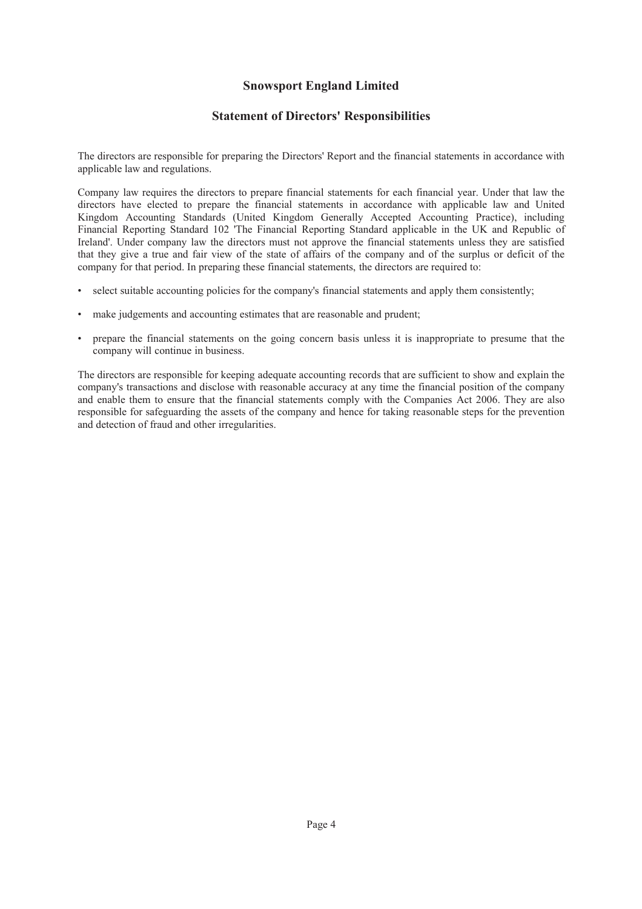### **Statement of Directors' Responsibilities**

The directors are responsible for preparing the Directors' Report and the financial statements in accordance with applicable law and regulations.

Company law requires the directors to prepare financial statements for each financial year. Under that law the directors have elected to prepare the financial statements in accordance with applicable law and United Kingdom Accounting Standards (United Kingdom Generally Accepted Accounting Practice), including Financial Reporting Standard 102 'The Financial Reporting Standard applicable in the UK and Republic of Ireland'. Under company law the directors must not approve the financial statements unless they are satisfied that they give a true and fair view of the state of affairs of the company and of the surplus or deficit of the company for that period. In preparing these financial statements, the directors are required to:

- select suitable accounting policies for the company's financial statements and apply them consistently;
- make judgements and accounting estimates that are reasonable and prudent;
- prepare the financial statements on the going concern basis unless it is inappropriate to presume that the company will continue in business.

The directors are responsible for keeping adequate accounting records that are sufficient to show and explain the company's transactions and disclose with reasonable accuracy at any time the financial position of the company and enable them to ensure that the financial statements comply with the Companies Act 2006. They are also responsible for safeguarding the assets of the company and hence for taking reasonable steps for the prevention and detection of fraud and other irregularities.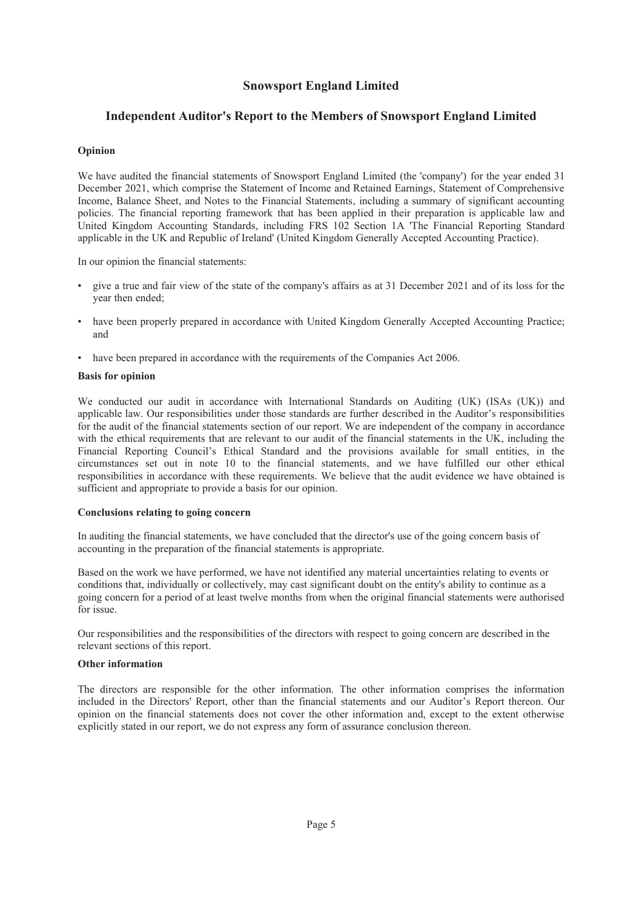### **Independent Auditor's Report to the Members of Snowsport England Limited**

#### **Opinion**

We have audited the financial statements of Snowsport England Limited (the 'company') for the year ended 31 December 2021, which comprise the Statement of Income and Retained Earnings, Statement of Comprehensive Income, Balance Sheet, and Notes to the Financial Statements, including a summary of significant accounting policies. The financial reporting framework that has been applied in their preparation is applicable law and United Kingdom Accounting Standards, including FRS 102 Section 1A 'The Financial Reporting Standard applicable in the UK and Republic of Ireland' (United Kingdom Generally Accepted Accounting Practice).

In our opinion the financial statements:

- give a true and fair view of the state of the company's affairs as at 31 December 2021 and of its loss for the year then ended;
- have been properly prepared in accordance with United Kingdom Generally Accepted Accounting Practice; and
- have been prepared in accordance with the requirements of the Companies Act 2006.

#### **Basis for opinion**

We conducted our audit in accordance with International Standards on Auditing (UK) (ISAs (UK)) and applicable law. Our responsibilities under those standards are further described in the Auditor's responsibilities for the audit of the financial statements section of our report. We are independent of the company in accordance with the ethical requirements that are relevant to our audit of the financial statements in the UK, including the Financial Reporting Council's Ethical Standard and the provisions available for small entities, in the circumstances set out in note 10 to the financial statements, and we have fulfilled our other ethical responsibilities in accordance with these requirements. We believe that the audit evidence we have obtained is sufficient and appropriate to provide a basis for our opinion.

#### **Conclusions relating to going concern**

In auditing the financial statements, we have concluded that the director's use of the going concern basis of accounting in the preparation of the financial statements is appropriate.

Based on the work we have performed, we have not identified any material uncertainties relating to events or conditions that, individually or collectively, may cast significant doubt on the entity's ability to continue as a going concern for a period of at least twelve months from when the original financial statements were authorised for issue.

Our responsibilities and the responsibilities of the directors with respect to going concern are described in the relevant sections of this report.

#### **Other information**

The directors are responsible for the other information. The other information comprises the information included in the Directors' Report, other than the financial statements and our Auditor's Report thereon. Our opinion on the financial statements does not cover the other information and, except to the extent otherwise explicitly stated in our report, we do not express any form of assurance conclusion thereon.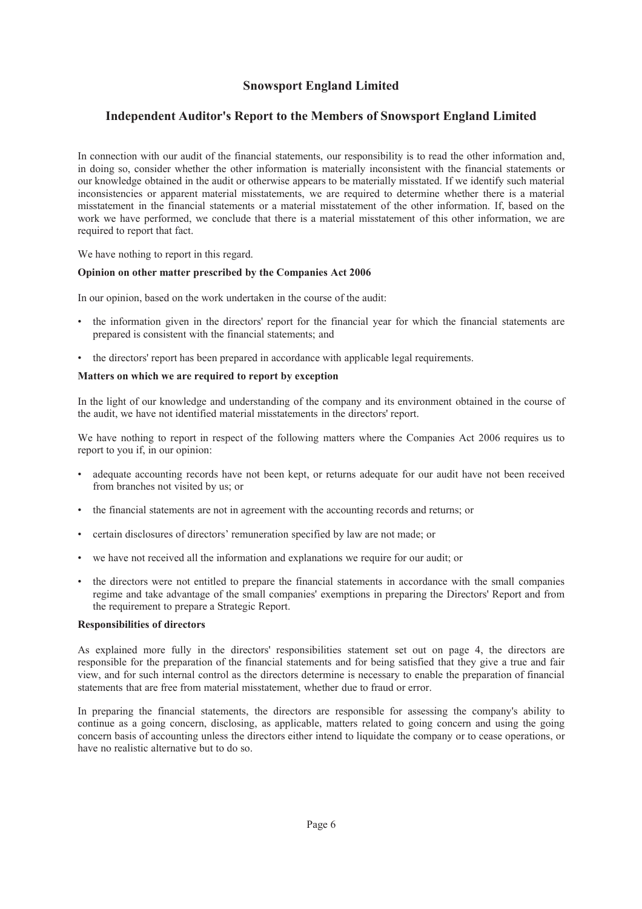### **Independent Auditor's Report to the Members of Snowsport England Limited**

In connection with our audit of the financial statements, our responsibility is to read the other information and, in doing so, consider whether the other information is materially inconsistent with the financial statements or our knowledge obtained in the audit or otherwise appears to be materially misstated. If we identify such material inconsistencies or apparent material misstatements, we are required to determine whether there is a material misstatement in the financial statements or a material misstatement of the other information. If, based on the work we have performed, we conclude that there is a material misstatement of this other information, we are required to report that fact.

We have nothing to report in this regard.

#### **Opinion on other matter prescribed by the Companies Act 2006**

In our opinion, based on the work undertaken in the course of the audit:

- the information given in the directors' report for the financial year for which the financial statements are prepared is consistent with the financial statements; and
- the directors' report has been prepared in accordance with applicable legal requirements.

#### **Matters on which we are required to report by exception**

In the light of our knowledge and understanding of the company and its environment obtained in the course of the audit, we have not identified material misstatements in the directors' report.

We have nothing to report in respect of the following matters where the Companies Act 2006 requires us to report to you if, in our opinion:

- adequate accounting records have not been kept, or returns adequate for our audit have not been received from branches not visited by us; or
- the financial statements are not in agreement with the accounting records and returns; or
- certain disclosures of directors' remuneration specified by law are not made; or
- we have not received all the information and explanations we require for our audit; or
- the directors were not entitled to prepare the financial statements in accordance with the small companies regime and take advantage of the small companies' exemptions in preparing the Directors' Report and from the requirement to prepare a Strategic Report.

#### **Responsibilities of directors**

As explained more fully in the directors' responsibilities statement set out on page 4, the directors are responsible for the preparation of the financial statements and for being satisfied that they give a true and fair view, and for such internal control as the directors determine is necessary to enable the preparation of financial statements that are free from material misstatement, whether due to fraud or error.

In preparing the financial statements, the directors are responsible for assessing the company's ability to continue as a going concern, disclosing, as applicable, matters related to going concern and using the going concern basis of accounting unless the directors either intend to liquidate the company or to cease operations, or have no realistic alternative but to do so.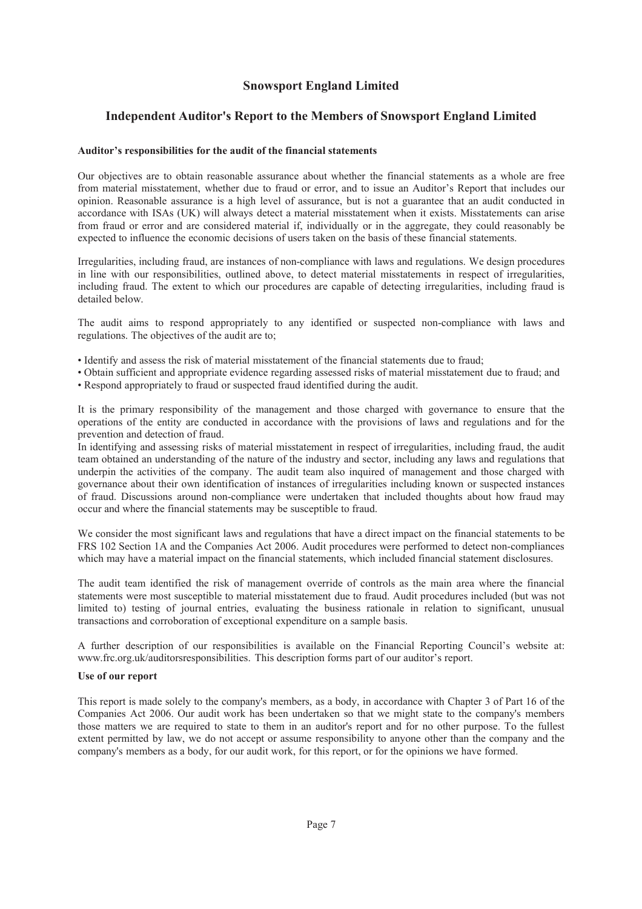### **Independent Auditor's Report to the Members of Snowsport England Limited**

#### **Auditor's responsibilities for the audit of the financial statements**

Our objectives are to obtain reasonable assurance about whether the financial statements as a whole are free from material misstatement, whether due to fraud or error, and to issue an Auditor's Report that includes our opinion. Reasonable assurance is a high level of assurance, but is not a guarantee that an audit conducted in accordance with ISAs (UK) will always detect a material misstatement when it exists. Misstatements can arise from fraud or error and are considered material if, individually or in the aggregate, they could reasonably be expected to influence the economic decisions of users taken on the basis of these financial statements.

Irregularities, including fraud, are instances of non-compliance with laws and regulations. We design procedures in line with our responsibilities, outlined above, to detect material misstatements in respect of irregularities, including fraud. The extent to which our procedures are capable of detecting irregularities, including fraud is detailed below.

The audit aims to respond appropriately to any identified or suspected non-compliance with laws and regulations. The objectives of the audit are to;

- Identify and assess the risk of material misstatement of the financial statements due to fraud;
- Obtain sufficient and appropriate evidence regarding assessed risks of material misstatement due to fraud; and
- Respond appropriately to fraud or suspected fraud identified during the audit.

It is the primary responsibility of the management and those charged with governance to ensure that the operations of the entity are conducted in accordance with the provisions of laws and regulations and for the prevention and detection of fraud.

In identifying and assessing risks of material misstatement in respect of irregularities, including fraud, the audit team obtained an understanding of the nature of the industry and sector, including any laws and regulations that underpin the activities of the company. The audit team also inquired of management and those charged with governance about their own identification of instances of irregularities including known or suspected instances of fraud. Discussions around non-compliance were undertaken that included thoughts about how fraud may occur and where the financial statements may be susceptible to fraud.

We consider the most significant laws and regulations that have a direct impact on the financial statements to be FRS 102 Section 1A and the Companies Act 2006. Audit procedures were performed to detect non-compliances which may have a material impact on the financial statements, which included financial statement disclosures.

The audit team identified the risk of management override of controls as the main area where the financial statements were most susceptible to material misstatement due to fraud. Audit procedures included (but was not limited to) testing of journal entries, evaluating the business rationale in relation to significant, unusual transactions and corroboration of exceptional expenditure on a sample basis.

A further description of our responsibilities is available on the Financial Reporting Council's website at: www.frc.org.uk/auditorsresponsibilities. This description forms part of our auditor's report.

#### **Use of our report**

This report is made solely to the company's members, as a body, in accordance with Chapter 3 of Part 16 of the Companies Act 2006. Our audit work has been undertaken so that we might state to the company's members those matters we are required to state to them in an auditor's report and for no other purpose. To the fullest extent permitted by law, we do not accept or assume responsibility to anyone other than the company and the company's members as a body, for our audit work, for this report, or for the opinions we have formed.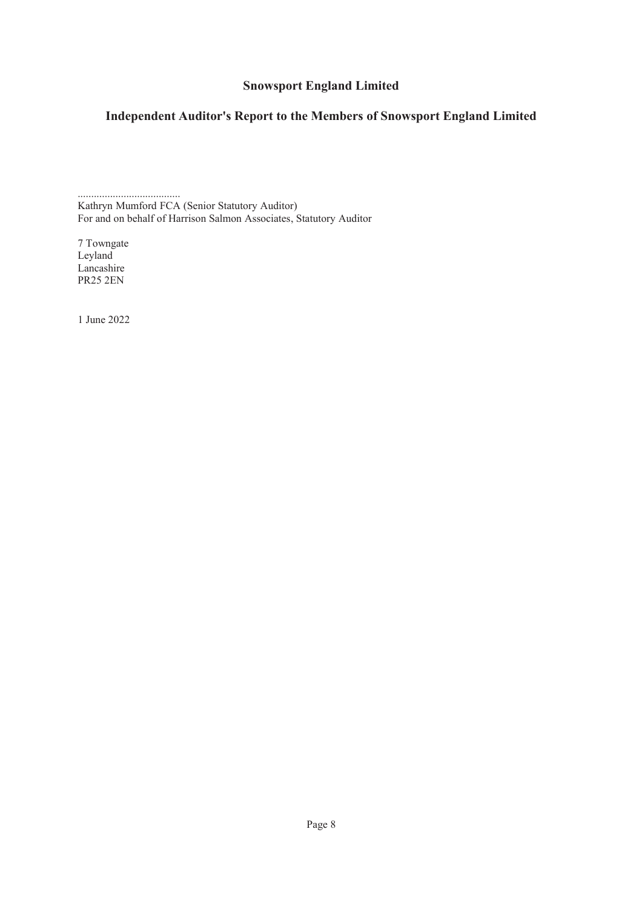## **Independent Auditor's Report to the Members of Snowsport England Limited**

...................................... Kathryn Mumford FCA (Senior Statutory Auditor) For and on behalf of Harrison Salmon Associates, Statutory Auditor

7 Towngate Leyland Lancashire PR25 2EN

1 June 2022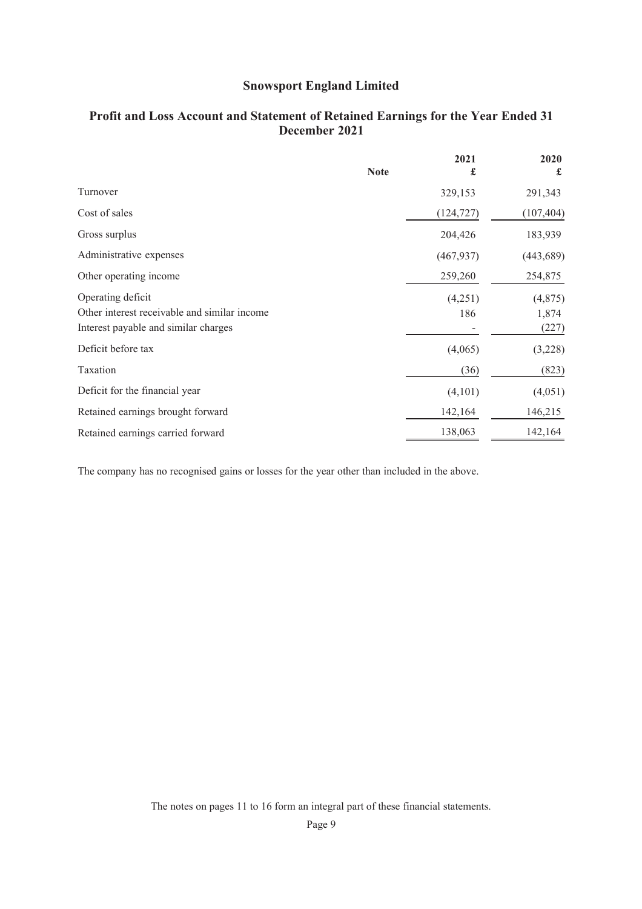|                                                                                                           | <b>Note</b> | 2021<br>£      | 2020<br>£                 |
|-----------------------------------------------------------------------------------------------------------|-------------|----------------|---------------------------|
| Turnover                                                                                                  |             | 329,153        | 291,343                   |
| Cost of sales                                                                                             |             | (124, 727)     | (107, 404)                |
| Gross surplus                                                                                             |             | 204,426        | 183,939                   |
| Administrative expenses                                                                                   |             | (467, 937)     | (443, 689)                |
| Other operating income                                                                                    |             | 259,260        | 254,875                   |
| Operating deficit<br>Other interest receivable and similar income<br>Interest payable and similar charges |             | (4,251)<br>186 | (4,875)<br>1,874<br>(227) |
| Deficit before tax                                                                                        |             | (4,065)        | (3,228)                   |
| Taxation                                                                                                  |             | (36)           | (823)                     |
| Deficit for the financial year                                                                            |             | (4,101)        | (4,051)                   |
| Retained earnings brought forward                                                                         |             | 142,164        | 146,215                   |
| Retained earnings carried forward                                                                         |             | 138,063        | 142,164                   |

## **Profit and Loss Account and Statement of Retained Earnings for the Year Ended 31 December 2021**

The company has no recognised gains or losses for the year other than included in the above.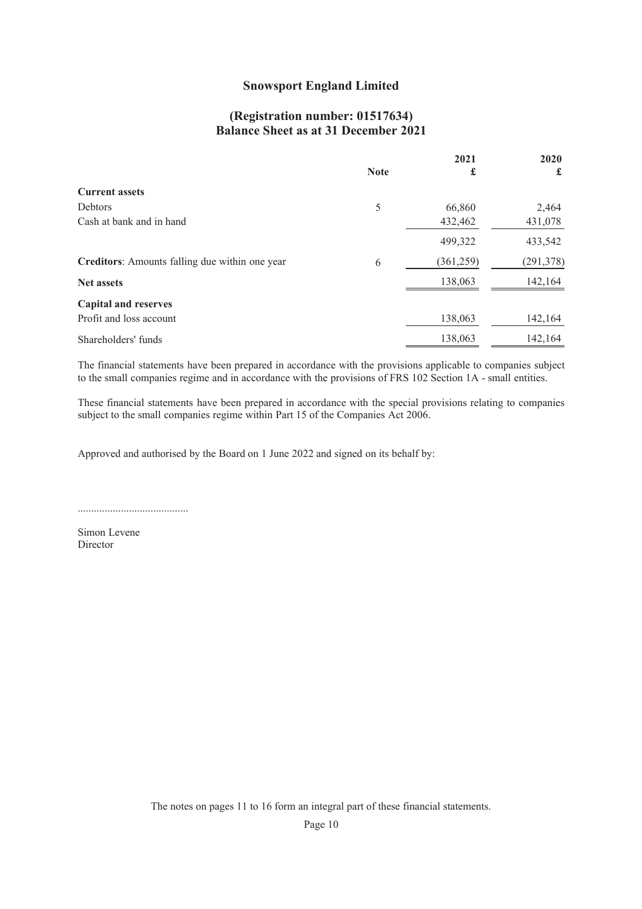## **(Registration number: 01517634) Balance Sheet as at 31 December 2021**

|                                                | <b>Note</b> | 2021<br>£  | 2020<br>£  |
|------------------------------------------------|-------------|------------|------------|
| <b>Current assets</b>                          |             |            |            |
| Debtors                                        | 5           | 66,860     | 2,464      |
| Cash at bank and in hand                       |             | 432,462    | 431,078    |
|                                                |             | 499,322    | 433,542    |
| Creditors: Amounts falling due within one year | 6           | (361, 259) | (291, 378) |
| <b>Net assets</b>                              |             | 138,063    | 142,164    |
| <b>Capital and reserves</b>                    |             |            |            |
| Profit and loss account                        |             | 138,063    | 142,164    |
| Shareholders' funds                            |             | 138,063    | 142,164    |

The financial statements have been prepared in accordance with the provisions applicable to companies subject to the small companies regime and in accordance with the provisions of FRS 102 Section 1A - small entities.

These financial statements have been prepared in accordance with the special provisions relating to companies subject to the small companies regime within Part 15 of the Companies Act 2006.

Approved and authorised by the Board on 1 June 2022 and signed on its behalf by:

.........................................

Simon Levene Director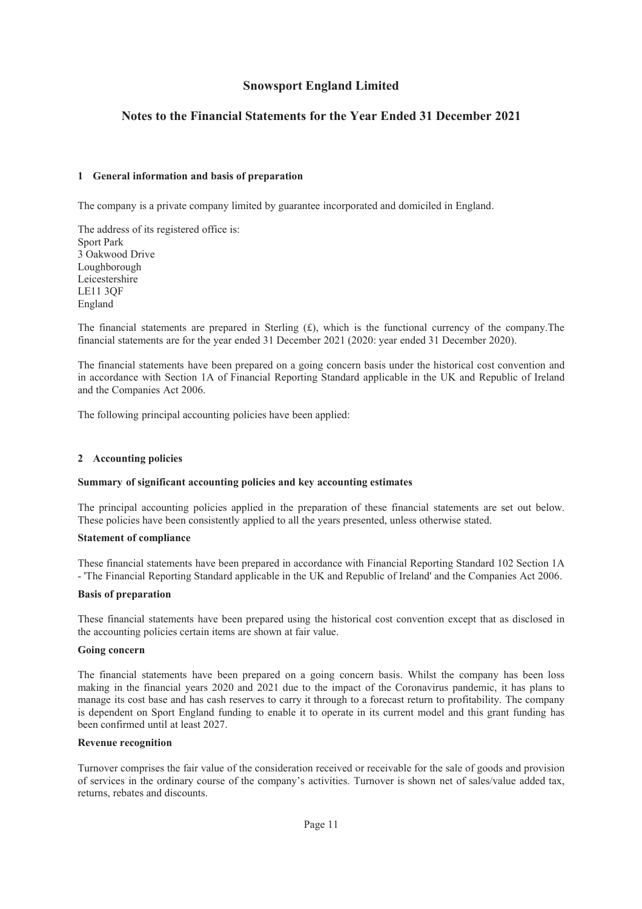### **Notes to the Financial Statements for the Year Ended 31 December 2021**

#### **1 General information and basis of preparation**

The company is a private company limited by guarantee incorporated and domiciled in England.

The address of its registered office is: Sport Park 3 Oakwood Drive Loughborough Leicestershire LE11 3QF England

The financial statements are prepared in Sterling  $(f)$ , which is the functional currency of the company. The financial statements are for the year ended 31 December 2021 (2020: year ended 31 December 2020).

The financial statements have been prepared on a going concern basis under the historical cost convention and in accordance with Section 1A of Financial Reporting Standard applicable in the UK and Republic of Ireland and the Companies Act 2006.

The following principal accounting policies have been applied:

#### **2 Accounting policies**

#### **Summary of significant accounting policies and key accounting estimates**

The principal accounting policies applied in the preparation of these financial statements are set out below. These policies have been consistently applied to all the years presented, unless otherwise stated.

#### **Statement of compliance**

These financial statements have been prepared in accordance with Financial Reporting Standard 102 Section 1A - 'The Financial Reporting Standard applicable in the UK and Republic of Ireland' and the Companies Act 2006.

#### **Basis of preparation**

These financial statements have been prepared using the historical cost convention except that as disclosed in the accounting policies certain items are shown at fair value.

#### **Going concern**

The financial statements have been prepared on a going concern basis. Whilst the company has been loss making in the financial years 2020 and 2021 due to the impact of the Coronavirus pandemic, it has plans to manage its cost base and has cash reserves to carry it through to a forecast return to profitability. The company is dependent on Sport England funding to enable it to operate in its current model and this grant funding has been confirmed until at least 2027.

#### **Revenue recognition**

Turnover comprises the fair value of the consideration received or receivable for the sale of goods and provision of services in the ordinary course of the company's activities. Turnover is shown net of sales/value added tax, returns, rebates and discounts.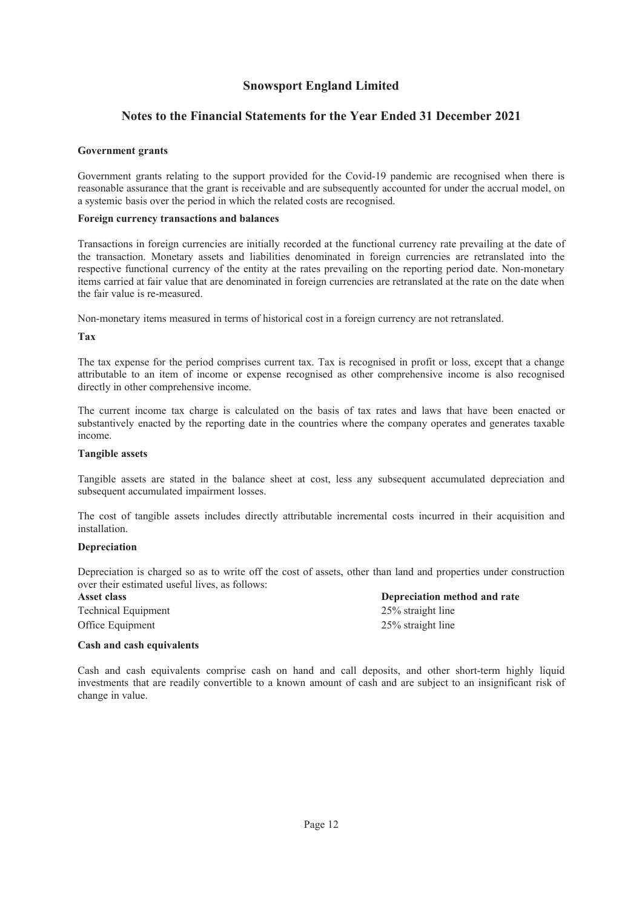### **Notes to the Financial Statements for the Year Ended 31 December 2021**

#### **Government grants**

Government grants relating to the support provided for the Covid-19 pandemic are recognised when there is reasonable assurance that the grant is receivable and are subsequently accounted for under the accrual model, on a systemic basis over the period in which the related costs are recognised.

#### **Foreign currency transactions and balances**

Transactions in foreign currencies are initially recorded at the functional currency rate prevailing at the date of the transaction. Monetary assets and liabilities denominated in foreign currencies are retranslated into the respective functional currency of the entity at the rates prevailing on the reporting period date. Non-monetary items carried at fair value that are denominated in foreign currencies are retranslated at the rate on the date when the fair value is re-measured.

Non-monetary items measured in terms of historical cost in a foreign currency are not retranslated.

#### **Tax**

The tax expense for the period comprises current tax. Tax is recognised in profit or loss, except that a change attributable to an item of income or expense recognised as other comprehensive income is also recognised directly in other comprehensive income.

The current income tax charge is calculated on the basis of tax rates and laws that have been enacted or substantively enacted by the reporting date in the countries where the company operates and generates taxable income.

#### **Tangible assets**

Tangible assets are stated in the balance sheet at cost, less any subsequent accumulated depreciation and subsequent accumulated impairment losses.

The cost of tangible assets includes directly attributable incremental costs incurred in their acquisition and installation.

#### **Depreciation**

Depreciation is charged so as to write off the cost of assets, other than land and properties under construction over their estimated useful lives, as follows:

**Asset class Depreciation method and rate** Technical Equipment 25% straight line Office Equipment 25% straight line

#### **Cash and cash equivalents**

Cash and cash equivalents comprise cash on hand and call deposits, and other short-term highly liquid investments that are readily convertible to a known amount of cash and are subject to an insignificant risk of change in value.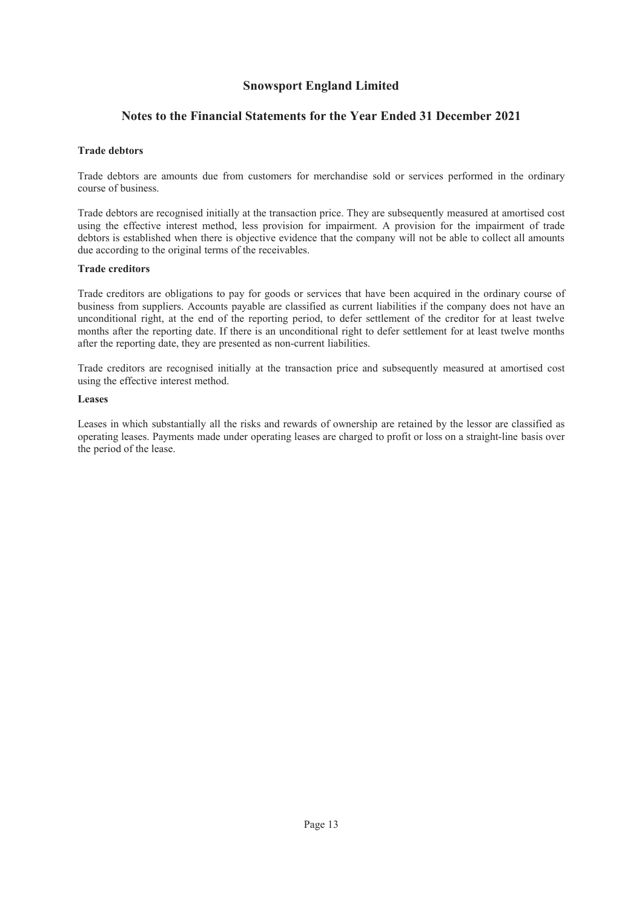### **Notes to the Financial Statements for the Year Ended 31 December 2021**

#### **Trade debtors**

Trade debtors are amounts due from customers for merchandise sold or services performed in the ordinary course of business.

Trade debtors are recognised initially at the transaction price. They are subsequently measured at amortised cost using the effective interest method, less provision for impairment. A provision for the impairment of trade debtors is established when there is objective evidence that the company will not be able to collect all amounts due according to the original terms of the receivables.

#### **Trade creditors**

Trade creditors are obligations to pay for goods or services that have been acquired in the ordinary course of business from suppliers. Accounts payable are classified as current liabilities if the company does not have an unconditional right, at the end of the reporting period, to defer settlement of the creditor for at least twelve months after the reporting date. If there is an unconditional right to defer settlement for at least twelve months after the reporting date, they are presented as non-current liabilities.

Trade creditors are recognised initially at the transaction price and subsequently measured at amortised cost using the effective interest method.

#### **Leases**

Leases in which substantially all the risks and rewards of ownership are retained by the lessor are classified as operating leases. Payments made under operating leases are charged to profit or loss on a straight-line basis over the period of the lease.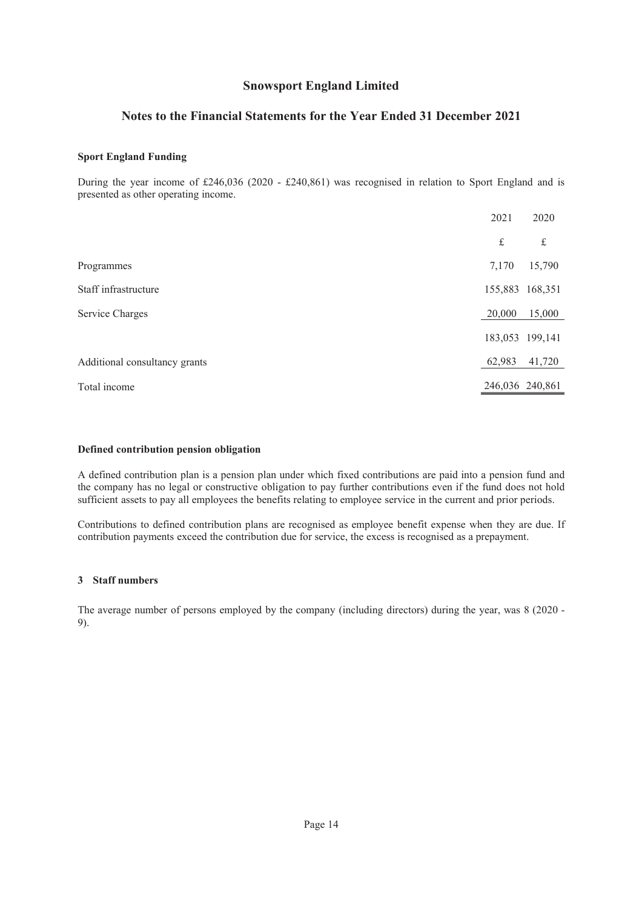### **Notes to the Financial Statements for the Year Ended 31 December 2021**

#### **Sport England Funding**

During the year income of £246,036 (2020 - £240,861) was recognised in relation to Sport England and is presented as other operating income.

|                               | 2021            | 2020            |
|-------------------------------|-----------------|-----------------|
|                               | $\pounds$       | $\mathbf f$     |
| Programmes                    | 7,170           | 15,790          |
| Staff infrastructure          |                 | 155,883 168,351 |
| Service Charges               | 20,000          | 15,000          |
|                               |                 | 183,053 199,141 |
| Additional consultancy grants | 62,983          | 41,720          |
| Total income                  | 246,036 240,861 |                 |

#### **Defined contribution pension obligation**

A defined contribution plan is a pension plan under which fixed contributions are paid into a pension fund and the company has no legal or constructive obligation to pay further contributions even if the fund does not hold sufficient assets to pay all employees the benefits relating to employee service in the current and prior periods.

Contributions to defined contribution plans are recognised as employee benefit expense when they are due. If contribution payments exceed the contribution due for service, the excess is recognised as a prepayment.

### **3 Staff numbers**

The average number of persons employed by the company (including directors) during the year, was 8 (2020 - 9).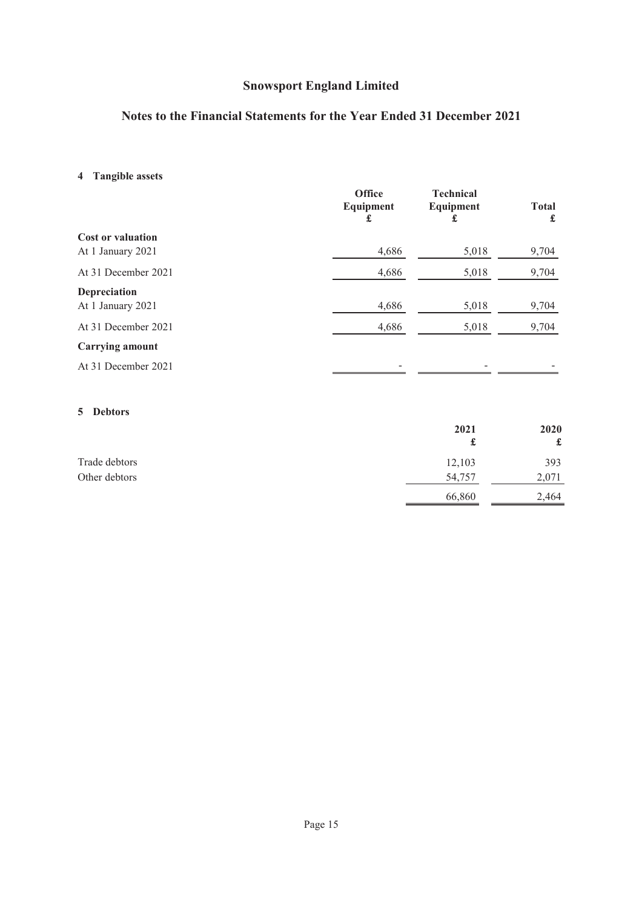## **Notes to the Financial Statements for the Year Ended 31 December 2021**

## **4 Tangible assets**

|                                               | <b>Office</b><br>Equipment<br>£ | <b>Technical</b><br>Equipment<br>£ | <b>Total</b><br>£ |
|-----------------------------------------------|---------------------------------|------------------------------------|-------------------|
| <b>Cost or valuation</b><br>At 1 January 2021 | 4,686                           | 5,018                              | 9,704             |
| At 31 December 2021                           | 4,686                           | 5,018                              | 9,704             |
| Depreciation<br>At 1 January 2021             | 4,686                           | 5,018                              | 9,704             |
| At 31 December 2021                           | 4,686                           | 5,018                              | 9,704             |
| <b>Carrying amount</b>                        |                                 |                                    |                   |
| At 31 December 2021                           |                                 |                                    |                   |

### **5 Debtors**

|               | 2021   | 2020  |
|---------------|--------|-------|
|               |        | £     |
| Trade debtors | 12,103 | 393   |
| Other debtors | 54,757 | 2,071 |
|               | 66,860 | 2,464 |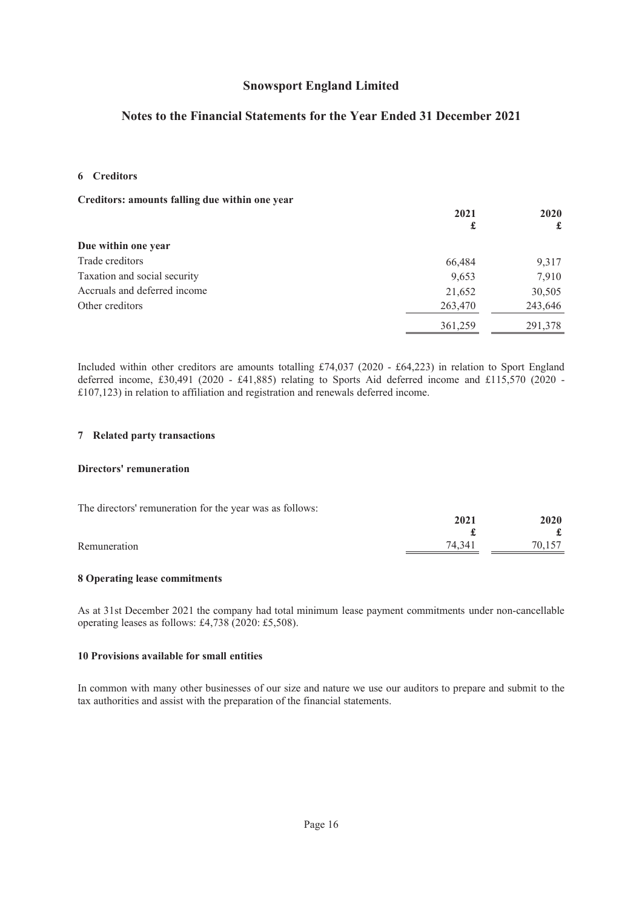## **Notes to the Financial Statements for the Year Ended 31 December 2021**

#### **6 Creditors**

| Creditors: amounts falling due within one year |         |         |
|------------------------------------------------|---------|---------|
|                                                | 2021    | 2020    |
|                                                | £       | £       |
| Due within one year                            |         |         |
| Trade creditors                                | 66,484  | 9,317   |
| Taxation and social security                   | 9,653   | 7,910   |
| Accruals and deferred income                   | 21,652  | 30,505  |
| Other creditors                                | 263,470 | 243,646 |
|                                                | 361,259 | 291,378 |

Included within other creditors are amounts totalling £74,037 (2020 - £64,223) in relation to Sport England deferred income, £30,491 (2020 - £41,885) relating to Sports Aid deferred income and £115,570 (2020 - £107,123) in relation to affiliation and registration and renewals deferred income.

#### **7 Related party transactions**

#### **Directors' remuneration**

| The directors' remuneration for the year was as follows: |        |        |
|----------------------------------------------------------|--------|--------|
|                                                          | 2021   | 2020   |
|                                                          |        |        |
| Remuneration                                             | 74.341 | 70.157 |

#### **8 Operating lease commitments**

As at 31st December 2021 the company had total minimum lease payment commitments under non-cancellable operating leases as follows: £4,738 (2020: £5,508).

#### **10 Provisions available for small entities**

In common with many other businesses of our size and nature we use our auditors to prepare and submit to the tax authorities and assist with the preparation of the financial statements.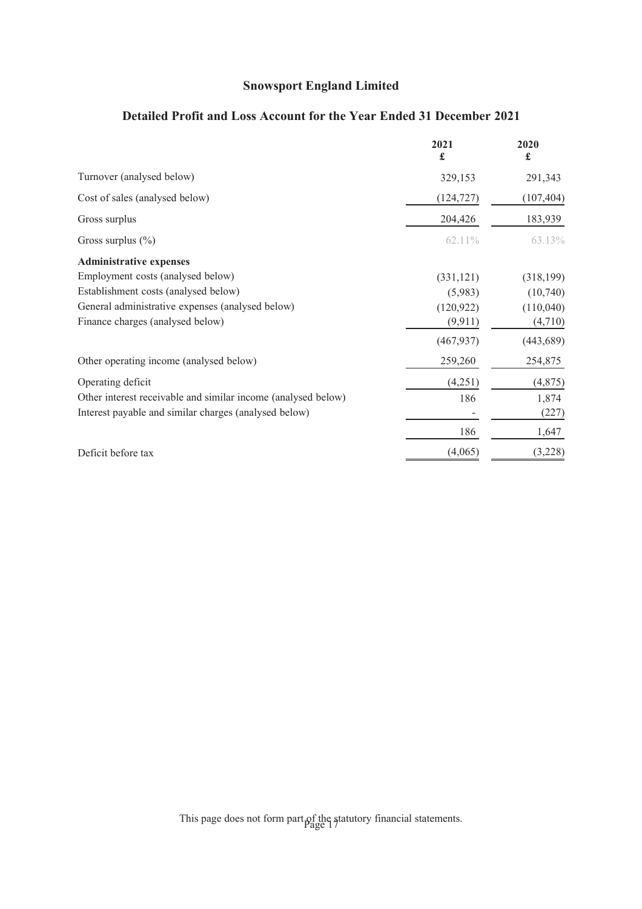## **Detailed Profit and Loss Account for the Year Ended 31 December 2021**

|                                                               | 2021<br>£  | 2020<br>£  |
|---------------------------------------------------------------|------------|------------|
| Turnover (analysed below)                                     | 329,153    | 291,343    |
| Cost of sales (analysed below)                                | (124, 727) | (107, 404) |
| Gross surplus                                                 | 204,426    | 183,939    |
| Gross surplus $(\%)$                                          | 62.11%     | 63.13%     |
| <b>Administrative expenses</b>                                |            |            |
| Employment costs (analysed below)                             | (331, 121) | (318, 199) |
| Establishment costs (analysed below)                          | (5,983)    | (10,740)   |
| General administrative expenses (analysed below)              | (120, 922) | (110,040)  |
| Finance charges (analysed below)                              | (9,911)    | (4,710)    |
|                                                               | (467, 937) | (443, 689) |
| Other operating income (analysed below)                       | 259,260    | 254,875    |
| Operating deficit                                             | (4,251)    | (4, 875)   |
| Other interest receivable and similar income (analysed below) | 186        | 1,874      |
| Interest payable and similar charges (analysed below)         |            | (227)      |
|                                                               | 186        | 1,647      |
| Deficit before tax                                            | (4,065)    | (3,228)    |

This page does not form part of the statutory financial statements.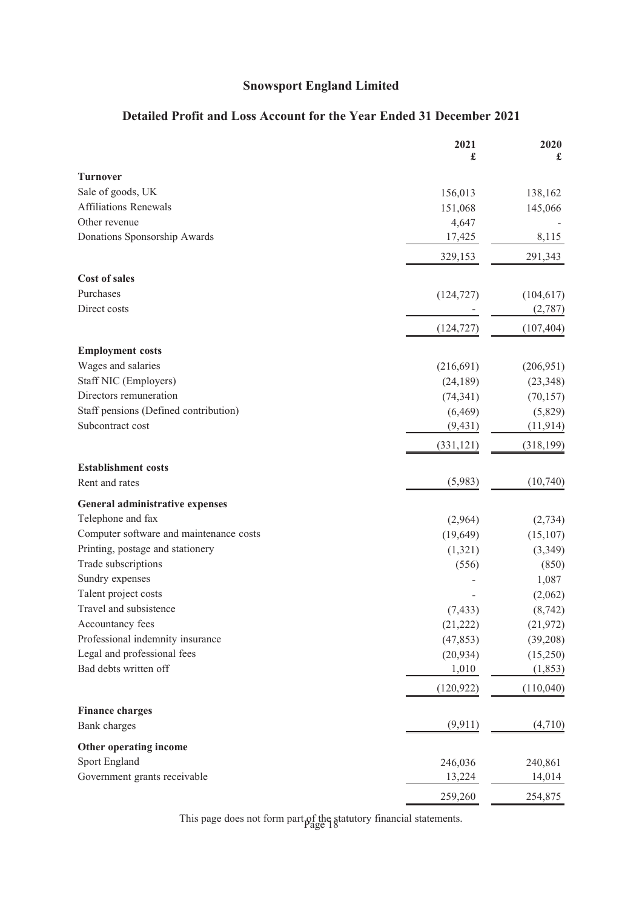## **Detailed Profit and Loss Account for the Year Ended 31 December 2021**

|                                         | 2021<br>£  | 2020<br>£  |
|-----------------------------------------|------------|------------|
| <b>Turnover</b>                         |            |            |
| Sale of goods, UK                       | 156,013    | 138,162    |
| <b>Affiliations Renewals</b>            | 151,068    | 145,066    |
| Other revenue                           | 4,647      |            |
| Donations Sponsorship Awards            | 17,425     | 8,115      |
|                                         | 329,153    | 291,343    |
| <b>Cost of sales</b>                    |            |            |
| Purchases                               | (124, 727) | (104, 617) |
| Direct costs                            |            | (2,787)    |
|                                         | (124, 727) | (107, 404) |
| <b>Employment costs</b>                 |            |            |
| Wages and salaries                      | (216,691)  | (206, 951) |
| Staff NIC (Employers)                   | (24, 189)  | (23, 348)  |
| Directors remuneration                  | (74, 341)  | (70, 157)  |
| Staff pensions (Defined contribution)   | (6, 469)   | (5,829)    |
| Subcontract cost                        | (9, 431)   | (11, 914)  |
|                                         | (331, 121) | (318, 199) |
| <b>Establishment costs</b>              |            |            |
| Rent and rates                          | (5,983)    | (10,740)   |
| <b>General administrative expenses</b>  |            |            |
| Telephone and fax                       | (2,964)    | (2, 734)   |
| Computer software and maintenance costs | (19, 649)  | (15, 107)  |
| Printing, postage and stationery        | (1,321)    | (3,349)    |
| Trade subscriptions                     | (556)      | (850)      |
| Sundry expenses                         |            | 1,087      |
| Talent project costs                    |            | (2,062)    |
| Travel and subsistence                  | (7, 433)   | (8, 742)   |
| Accountancy fees                        | (21, 222)  | (21, 972)  |
| Professional indemnity insurance        | (47, 853)  | (39,208)   |
| Legal and professional fees             | (20, 934)  | (15,250)   |
| Bad debts written off                   | 1,010      | (1, 853)   |
|                                         | (120, 922) | (110,040)  |
| <b>Finance charges</b>                  |            |            |
| Bank charges                            | (9,911)    | (4,710)    |
| Other operating income                  |            |            |
| <b>Sport England</b>                    | 246,036    | 240,861    |
| Government grants receivable            | 13,224     | 14,014     |
|                                         | 259,260    | 254,875    |

This page does not form part of the statutory financial statements. Page 18